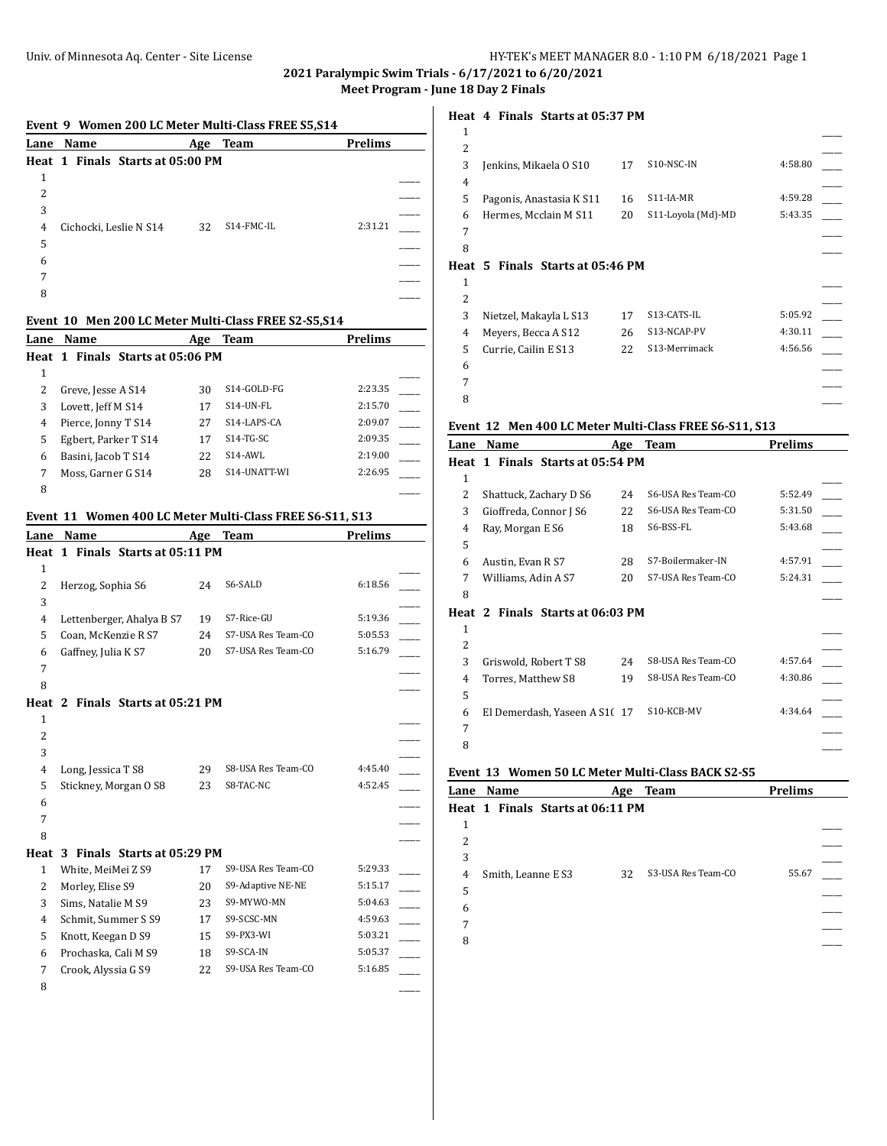**2021 Paralympic Swim Trials - 6/17/2021 to 6/20/2021**

**Meet Program - June 18 Day 2 Finals**

# **Event 9 Women 200 LC Meter Multi-Class FREE S5,S14 Lane Name Age Team Prelims Heat 1 Finals Starts at 05:00 PM** 1  $\overline{\phantom{a}}$ 2 \_\_\_\_\_  $3$ 4 Cichocki, Leslie N S14 32 S14-FMC-IL 2:31.21  $5$  $\overline{\phantom{a}}$  6  $7$ 8 \_\_\_\_\_ **Event 10 Men 200 LC Meter Multi-Class FREE S2-S5,S14 Lane Name Age Team Prelims Heat 1 Finals Starts at 05:06 PM** 1  $\overline{\phantom{a}}$ 2 Greve, Jesse A S14 30 S14-GOLD-FG 2:23.35 3 Lovett, Jeff M S14 17 S14-UN-FL 2:15.70 4 Pierce, Jonny T S14 27 S14-LAPS-CA 2:09.07 5 Egbert, Parker T S14 17 S14-TG-SC 2:09.35 6 Basini, Jacob T S14 22 S14-AWL 2:19.00 7 Moss, Garner G S14 28 S14-UNATT-WI 2:26.95 8 \_\_\_\_\_ **Event 11 Women 400 LC Meter Multi-Class FREE S6-S11, S13 Lane Name Age Team Prelims Heat 1 Finals Starts at 05:11 PM** 1  $\overline{\phantom{a}}$ 2 Herzog, Sophia S6 24 S6-SALD 6:18.56  $3$ 4 Lettenberger, Ahalya B S7 19 S7-Rice-GU 5:19.36 5 Coan, McKenzie R S7 24 S7-USA Res Team-CO 5:05.53 6 Gaffney, Julia K S7 20 S7-USA Res Team-CO 5:16.79 7 \_\_\_\_\_ 8 \_\_\_\_\_ **Heat 2 Finals Starts at 05:21 PM** 1  $\overline{\phantom{a}}$ 2  $\overline{\phantom{a}}$  $3$ 4 Long, Jessica T S8 29 S8-USA Res Team-CO 4:45.40 \_\_\_\_\_ 5 Stickney, Morgan O S8 23 S8-TAC-NC 4:52.45  $\overline{\phantom{a}}$  6  $7$ 8 \_\_\_\_\_ **Heat 3 Finals Starts at 05:29 PM** 1 White, MeiMei Z S9 17 S9-USA Res Team-CO 5:29.33 2 Morley, Elise S9 20 S9-Adaptive NE-NE 5:15.17 3 Sims, Natalie M S9 23 S9-MYWO-MN 5:04.63 4 Schmit, Summer S S9 17 S9-SCSC-MN 4:59.63 5 Knott, Keegan D S9 15 S9-PX3-WI 5:03.21 6 Prochaska, Cali M S9 18 S9-SCA-IN 5:05.37 7 Crook, Alyssia G S9 22 S9-USA Res Team-CO 5:16.85 8 \_\_\_\_\_

### **Heat 4 Finals Starts at 05:37 PM**

| 1              |                                                        |     |                    |                |  |
|----------------|--------------------------------------------------------|-----|--------------------|----------------|--|
| 2              |                                                        |     |                    |                |  |
| 3              | Jenkins, Mikaela O S10                                 | 17  | S10-NSC-IN         | 4:58.80        |  |
| 4              |                                                        |     |                    |                |  |
| 5              | Pagonis, Anastasia K S11                               | 16  | S11-IA-MR          | 4:59.28        |  |
| 6              | Hermes, Mcclain M S11                                  | 20  | S11-Loyola (Md)-MD | 5:43.35        |  |
| 7              |                                                        |     |                    |                |  |
| 8              |                                                        |     |                    |                |  |
|                | Heat 5 Finals Starts at 05:46 PM                       |     |                    |                |  |
| 1              |                                                        |     |                    |                |  |
| $\overline{2}$ |                                                        |     |                    |                |  |
| 3              | Nietzel, Makayla L S13                                 | 17  | S13-CATS-IL        | 5:05.92        |  |
| 4              | Meyers, Becca A S12                                    | 26  | S13-NCAP-PV        | 4:30.11        |  |
| 5              | Currie, Cailin E S13                                   | 22  | S13-Merrimack      | 4:56.56        |  |
| 6              |                                                        |     |                    |                |  |
| 7              |                                                        |     |                    |                |  |
| 8              |                                                        |     |                    |                |  |
|                |                                                        |     |                    |                |  |
|                |                                                        |     |                    |                |  |
|                | Event 12 Men 400 LC Meter Multi-Class FREE S6-S11, S13 |     |                    |                |  |
|                | Lane Name                                              | Age | <b>Team</b>        | <b>Prelims</b> |  |
|                | Heat 1 Finals Starts at 05:54 PM                       |     |                    |                |  |
| 1              |                                                        |     |                    |                |  |
| $\overline{2}$ | Shattuck, Zachary D S6                                 | 24  | S6-USA Res Team-CO | 5:52.49        |  |
| 3              | Gioffreda, Connor J S6                                 | 22  | S6-USA Res Team-CO | 5:31.50        |  |
| 4              | Ray, Morgan E S6                                       | 18  | S6-BSS-FL          | 5:43.68        |  |
| 5              |                                                        |     |                    |                |  |
| 6              | Austin, Evan R S7                                      | 28  | S7-Boilermaker-IN  | 4:57.91        |  |
| 7              | Williams, Adin A S7                                    | 20  | S7-USA Res Team-CO | 5:24.31        |  |
| 8              |                                                        |     |                    |                |  |
|                | Heat 2 Finals Starts at 06:03 PM                       |     |                    |                |  |
| 1              |                                                        |     |                    |                |  |
| $\overline{2}$ |                                                        |     |                    |                |  |
| 3              | Griswold, Robert T S8                                  | 24  | S8-USA Res Team-CO | 4:57.64        |  |
| 4              | Torres, Matthew S8                                     | 19  | S8-USA Res Team-CO | 4:30.86        |  |

**Event 13 Women 50 LC Meter Multi-Class BACK S2-S5**

|   | Lane Name |                                  | Age | Team               | <b>Prelims</b> |  |
|---|-----------|----------------------------------|-----|--------------------|----------------|--|
|   |           | Heat 1 Finals Starts at 06:11 PM |     |                    |                |  |
| 1 |           |                                  |     |                    |                |  |
| 2 |           |                                  |     |                    |                |  |
| 3 |           |                                  |     |                    |                |  |
| 4 |           | Smith, Leanne E S3               | 32  | S3-USA Res Team-CO | 55.67          |  |
| 5 |           |                                  |     |                    |                |  |
| 6 |           |                                  |     |                    |                |  |
| 7 |           |                                  |     |                    |                |  |
| 8 |           |                                  |     |                    |                |  |
|   |           |                                  |     |                    |                |  |

6 El Demerdash, Yaseen A S1( 17 S10-KCB-MV 4:34.64  $7$ 8 \_\_\_\_\_